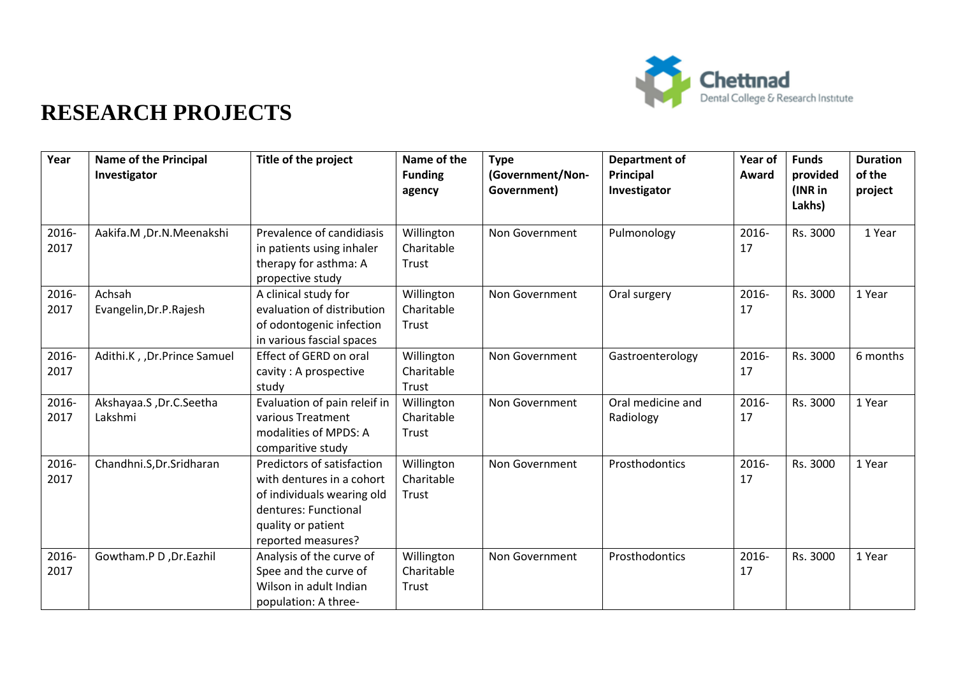

| Year          | Name of the Principal<br>Investigator | Title of the project                                                                                                                                      | Name of the<br><b>Funding</b><br>agency | <b>Type</b><br>(Government/Non-<br>Government) | <b>Department of</b><br>Principal<br>Investigator | Year of<br>Award | <b>Funds</b><br>provided<br>(INR in<br>Lakhs) | <b>Duration</b><br>of the<br>project |
|---------------|---------------------------------------|-----------------------------------------------------------------------------------------------------------------------------------------------------------|-----------------------------------------|------------------------------------------------|---------------------------------------------------|------------------|-----------------------------------------------|--------------------------------------|
| 2016-<br>2017 | Aakifa.M, Dr.N.Meenakshi              | Prevalence of candidiasis<br>in patients using inhaler<br>therapy for asthma: A<br>propective study                                                       | Willington<br>Charitable<br>Trust       | Non Government                                 | Pulmonology                                       | 2016-<br>17      | Rs. 3000                                      | 1 Year                               |
| 2016-<br>2017 | Achsah<br>Evangelin, Dr.P. Rajesh     | A clinical study for<br>evaluation of distribution<br>of odontogenic infection<br>in various fascial spaces                                               | Willington<br>Charitable<br>Trust       | Non Government                                 | Oral surgery                                      | 2016-<br>17      | Rs. 3000                                      | 1 Year                               |
| 2016-<br>2017 | Adithi.K, , Dr.Prince Samuel          | Effect of GERD on oral<br>cavity: A prospective<br>study                                                                                                  | Willington<br>Charitable<br>Trust       | Non Government                                 | Gastroenterology                                  | 2016-<br>17      | Rs. 3000                                      | 6 months                             |
| 2016-<br>2017 | Akshayaa.S, Dr.C.Seetha<br>Lakshmi    | Evaluation of pain releif in<br>various Treatment<br>modalities of MPDS: A<br>comparitive study                                                           | Willington<br>Charitable<br>Trust       | Non Government                                 | Oral medicine and<br>Radiology                    | 2016-<br>17      | Rs. 3000                                      | 1 Year                               |
| 2016-<br>2017 | Chandhni.S, Dr. Sridharan             | Predictors of satisfaction<br>with dentures in a cohort<br>of individuals wearing old<br>dentures: Functional<br>quality or patient<br>reported measures? | Willington<br>Charitable<br>Trust       | Non Government                                 | Prosthodontics                                    | 2016-<br>17      | Rs. 3000                                      | 1 Year                               |
| 2016-<br>2017 | Gowtham.P D, Dr.Eazhil                | Analysis of the curve of<br>Spee and the curve of<br>Wilson in adult Indian<br>population: A three-                                                       | Willington<br>Charitable<br>Trust       | Non Government                                 | Prosthodontics                                    | 2016-<br>17      | Rs. 3000                                      | 1 Year                               |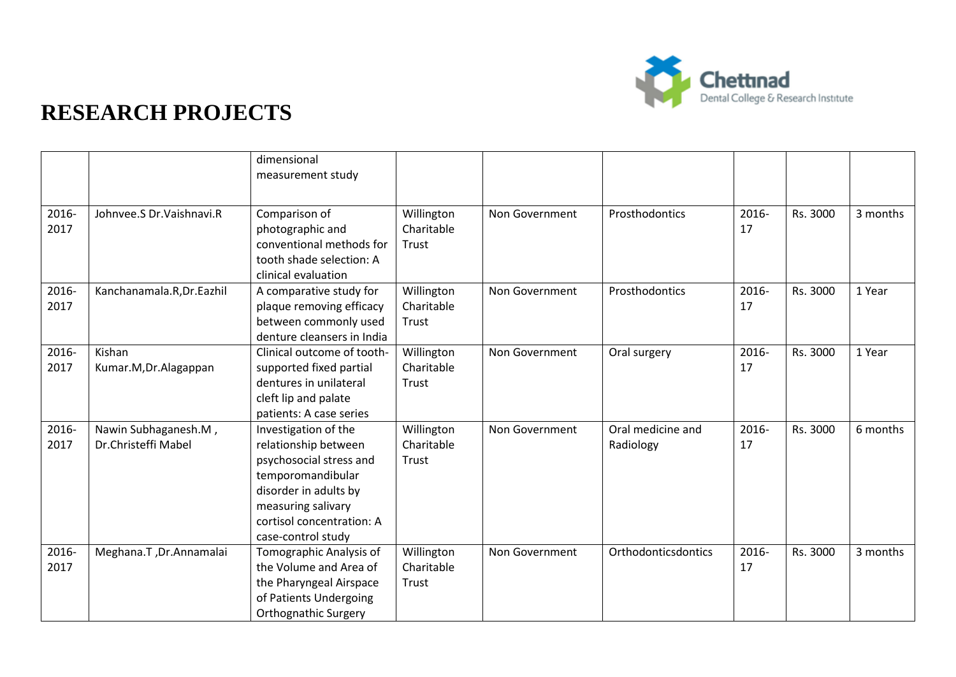

|               |                                             | dimensional<br>measurement study                                                                                                                                                               |                                   |                |                                |             |          |          |
|---------------|---------------------------------------------|------------------------------------------------------------------------------------------------------------------------------------------------------------------------------------------------|-----------------------------------|----------------|--------------------------------|-------------|----------|----------|
| 2016-<br>2017 | Johnvee.S Dr.Vaishnavi.R                    | Comparison of<br>photographic and<br>conventional methods for<br>tooth shade selection: A<br>clinical evaluation                                                                               | Willington<br>Charitable<br>Trust | Non Government | Prosthodontics                 | 2016-<br>17 | Rs. 3000 | 3 months |
| 2016-<br>2017 | Kanchanamala.R, Dr. Eazhil                  | A comparative study for<br>plaque removing efficacy<br>between commonly used<br>denture cleansers in India                                                                                     | Willington<br>Charitable<br>Trust | Non Government | Prosthodontics                 | 2016-<br>17 | Rs. 3000 | 1 Year   |
| 2016-<br>2017 | Kishan<br>Kumar.M, Dr.Alagappan             | Clinical outcome of tooth-<br>supported fixed partial<br>dentures in unilateral<br>cleft lip and palate<br>patients: A case series                                                             | Willington<br>Charitable<br>Trust | Non Government | Oral surgery                   | 2016-<br>17 | Rs. 3000 | 1 Year   |
| 2016-<br>2017 | Nawin Subhaganesh.M,<br>Dr.Christeffi Mabel | Investigation of the<br>relationship between<br>psychosocial stress and<br>temporomandibular<br>disorder in adults by<br>measuring salivary<br>cortisol concentration: A<br>case-control study | Willington<br>Charitable<br>Trust | Non Government | Oral medicine and<br>Radiology | 2016-<br>17 | Rs. 3000 | 6 months |
| 2016-<br>2017 | Meghana.T, Dr.Annamalai                     | Tomographic Analysis of<br>the Volume and Area of<br>the Pharyngeal Airspace<br>of Patients Undergoing<br><b>Orthognathic Surgery</b>                                                          | Willington<br>Charitable<br>Trust | Non Government | Orthodonticsdontics            | 2016-<br>17 | Rs. 3000 | 3 months |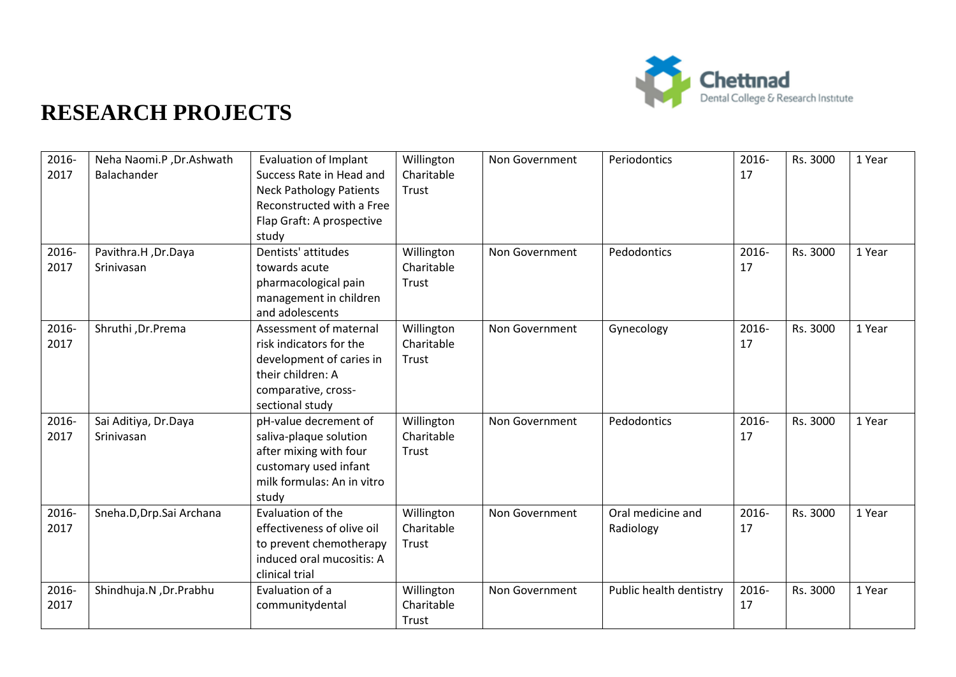

| 2016-<br>2017 | Neha Naomi.P, Dr.Ashwath<br>Balachander | <b>Evaluation of Implant</b><br>Success Rate in Head and<br><b>Neck Pathology Patients</b><br>Reconstructed with a Free<br>Flap Graft: A prospective | Willington<br>Charitable<br>Trust | Non Government | Periodontics                   | 2016-<br>17 | Rs. 3000 | 1 Year |
|---------------|-----------------------------------------|------------------------------------------------------------------------------------------------------------------------------------------------------|-----------------------------------|----------------|--------------------------------|-------------|----------|--------|
|               |                                         | study                                                                                                                                                |                                   |                |                                |             |          |        |
| 2016-<br>2017 | Pavithra.H, Dr.Daya<br>Srinivasan       | Dentists' attitudes<br>towards acute<br>pharmacological pain<br>management in children<br>and adolescents                                            | Willington<br>Charitable<br>Trust | Non Government | Pedodontics                    | 2016-<br>17 | Rs. 3000 | 1 Year |
| 2016-<br>2017 | Shruthi, Dr.Prema                       | Assessment of maternal<br>risk indicators for the<br>development of caries in<br>their children: A<br>comparative, cross-<br>sectional study         | Willington<br>Charitable<br>Trust | Non Government | Gynecology                     | 2016-<br>17 | Rs. 3000 | 1 Year |
| 2016-<br>2017 | Sai Aditiya, Dr.Daya<br>Srinivasan      | pH-value decrement of<br>saliva-plaque solution<br>after mixing with four<br>customary used infant<br>milk formulas: An in vitro<br>studv            | Willington<br>Charitable<br>Trust | Non Government | Pedodontics                    | 2016-<br>17 | Rs. 3000 | 1 Year |
| 2016-<br>2017 | Sneha.D, Drp. Sai Archana               | Evaluation of the<br>effectiveness of olive oil<br>to prevent chemotherapy<br>induced oral mucositis: A<br>clinical trial                            | Willington<br>Charitable<br>Trust | Non Government | Oral medicine and<br>Radiology | 2016-<br>17 | Rs. 3000 | 1 Year |
| 2016-<br>2017 | Shindhuja.N , Dr. Prabhu                | Evaluation of a<br>communitydental                                                                                                                   | Willington<br>Charitable<br>Trust | Non Government | Public health dentistry        | 2016-<br>17 | Rs. 3000 | 1 Year |